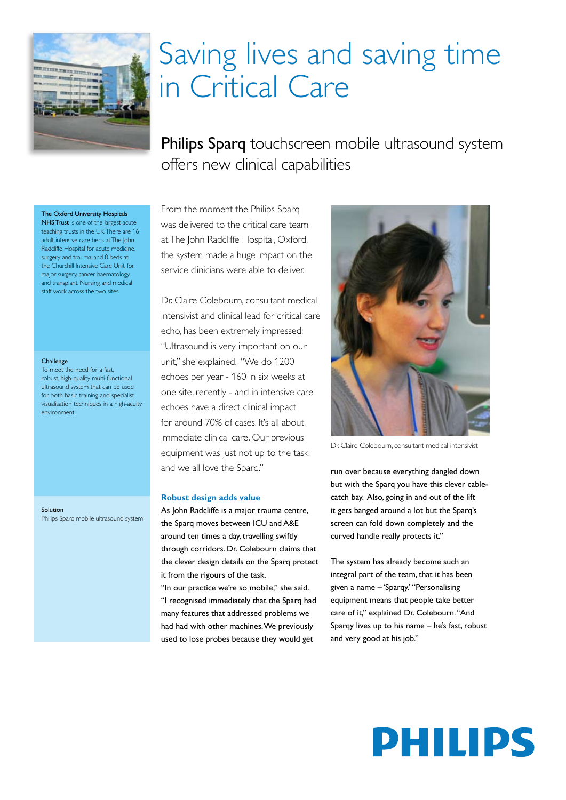

## Saving lives and saving time in Critical Care

Philips Sparq touchscreen mobile ultrasound system offers new clinical capabilities

The Oxford University Hospitals

NHS Trust is one of the largest acute teaching trusts in the UK. There are 16 adult intensive care beds at The John Radcliffe Hospital for acute medicine, surgery and trauma; and 8 beds at the Churchill Intensive Care Unit, for major surgery, cancer, haematology and transplant. Nursing and medical staff work across the two sites.

#### Challenge

To meet the need for a fast, robust, high-quality multi-functional ultrasound system that can be used for both basic training and specialist visualisation techniques in a high-acuity environment.

Solution Philips Sparg mobile ultrasound system From the moment the Philips Sparg was delivered to the critical care team at The John Radcliffe Hospital, Oxford, the system made a huge impact on the service clinicians were able to deliver.

Dr. Claire Colebourn, consultant medical intensivist and clinical lead for critical care echo, has been extremely impressed: "Ultrasound is very important on our unit," she explained. "We do 1200 echoes per year - 160 in six weeks at one site, recently - and in intensive care echoes have a direct clinical impact for around 70% of cases. It's all about immediate clinical care. Our previous equipment was just not up to the task and we all love the Sparq."

#### Robust design adds value

As John Radcliffe is a major trauma centre, the Sparq moves between ICU and A&E around ten times a day, travelling swiftly through corridors. Dr. Colebourn claims that the clever design details on the Sparq protect it from the rigours of the task.

"In our practice we're so mobile," she said. "I recognised immediately that the Sparg had many features that addressed problems we had had with other machines. We previously used to lose probes because they would get



Dr Claire Colebourn consultant medical intensivis

run over because everything dangled down but with the Sparg you have this clever cablecatch bay. Also, going in and out of the lift it gets banged around a lot but the Sparq's screen can fold down completely and the curved handle really protects it."

The system has already become such an integral part of the team, that it has been given a name - 'Sparqy' "Personalising equipment means that people take better care of it," explained Dr. Colebourn. "And Sparqy lives up to his name - he's fast, robust and very good at his job."

# **PHILIPS**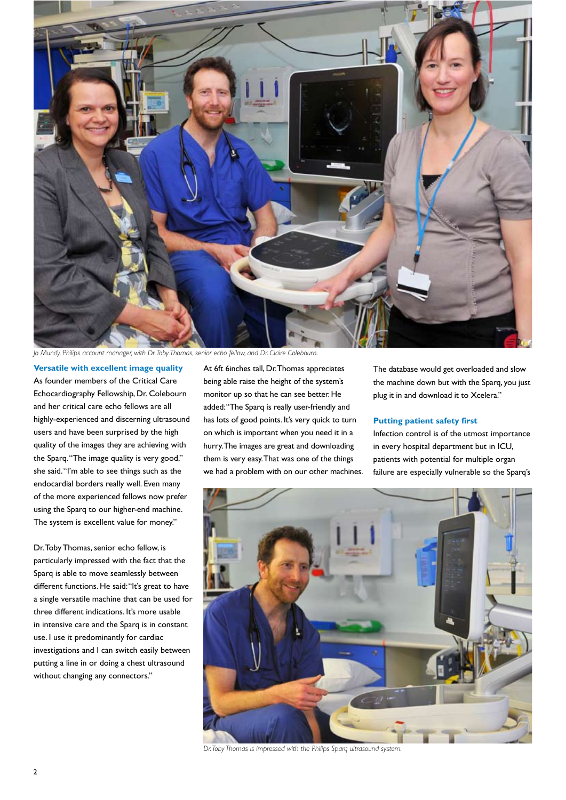

*Jo Mundy, Philips account manager, with Dr. Toby Thomas, senior echo fellow, and Dr. Claire Colebourn.*

#### **Versatile with excellent image quality** As founder members of the Critical Care Echocardiography Fellowship, Dr. Colebourn and her critical care echo fellows are all highly-experienced and discerning ultrasound users and have been surprised by the high quality of the images they are achieving with the Sparq. "The image quality is very good," she said. "I'm able to see things such as the endocardial borders really well. Even many of the more experienced fellows now prefer using the Sparq to our higher-end machine. The system is excellent value for money."

Dr. Toby Thomas, senior echo fellow, is particularly impressed with the fact that the Sparq is able to move seamlessly between different functions. He said: "It's great to have a single versatile machine that can be used for three different indications. It's more usable in intensive care and the Sparq is in constant use. I use it predominantly for cardiac investigations and I can switch easily between putting a line in or doing a chest ultrasound without changing any connectors."

At 6ft 6inches tall, Dr. Thomas appreciates being able raise the height of the system's monitor up so that he can see better. He added: "The Sparq is really user-friendly and has lots of good points. It's very quick to turn on which is important when you need it in a hurry. The images are great and downloading them is very easy. That was one of the things we had a problem with on our other machines.

The database would get overloaded and slow the machine down but with the Sparq, you just plug it in and download it to Xcelera."

#### **Putting patient safety first**

Infection control is of the utmost importance in every hospital department but in ICU, patients with potential for multiple organ failure are especially vulnerable so the Sparq's



*Dr. Toby Thomas is impressed with the Philips Sparq ultrasound system.*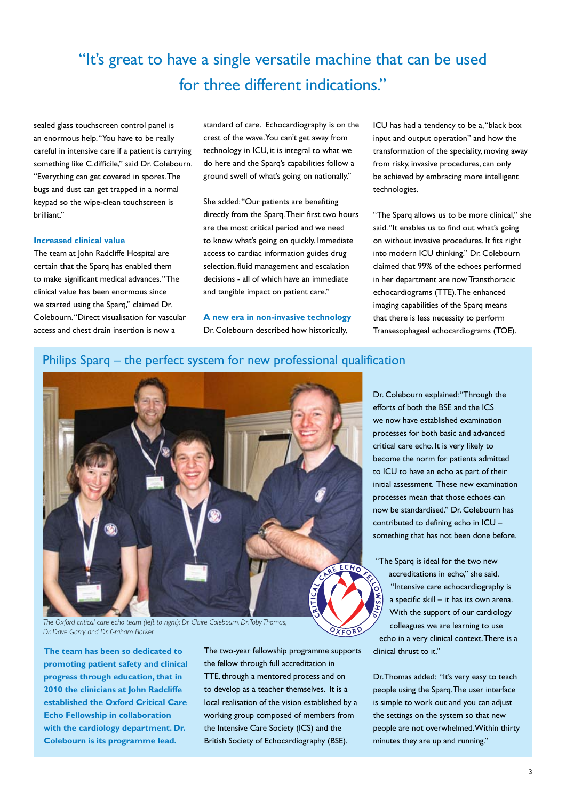### "It's great to have a single versatile machine that can be used for three different indications."

sealed glass touchscreen control panel is an enormous help. "You have to be really careful in intensive care if a patient is carrying something like C.difficile," said Dr. Colebourn. "Everything can get covered in spores. The bugs and dust can get trapped in a normal keypad so the wipe-clean touchscreen is brilliant."

#### **Increased clinical value**

The team at John Radcliffe Hospital are certain that the Sparq has enabled them to make significant medical advances. "The clinical value has been enormous since we started using the Sparq," claimed Dr. Colebourn. "Direct visualisation for vascular access and chest drain insertion is now a

standard of care. Echocardiography is on the crest of the wave. You can't get away from technology in ICU, it is integral to what we do here and the Sparq's capabilities follow a ground swell of what's going on nationally."

She added: "Our patients are benefiting directly from the Sparq. Their first two hours are the most critical period and we need to know what's going on quickly. Immediate access to cardiac information guides drug selection, fluid management and escalation decisions - all of which have an immediate and tangible impact on patient care."

**A new era in non-invasive technology** Dr. Colebourn described how historically,

ICU has had a tendency to be a, "black box input and output operation" and how the transformation of the speciality, moving away from risky, invasive procedures, can only be achieved by embracing more intelligent technologies.

"The Sparq allows us to be more clinical," she said. "It enables us to find out what's going on without invasive procedures. It fits right into modern ICU thinking." Dr. Colebourn claimed that 99% of the echoes performed in her department are now Transthoracic echocardiograms (TTE). The enhanced imaging capabilities of the Sparq means that there is less necessity to perform Transesophageal echocardiograms (TOE).

#### Philips Sparq – the perfect system for new professional qualification



*The Oxford critical care echo team (left to right): Dr. Claire Colebourn, Dr. Toby Thomas, Dr. Dave Garry and Dr. Graham Barker.*

**The team has been so dedicated to promoting patient safety and clinical progress through education, that in 2010 the clinicians at John Radcliffe established the Oxford Critical Care Echo Fellowship in collaboration with the cardiology department. Dr. Colebourn is its programme lead.** 

The two-year fellowship programme supports the fellow through full accreditation in TTE, through a mentored process and on to develop as a teacher themselves. It is a local realisation of the vision established by a working group composed of members from the Intensive Care Society (ICS) and the British Society of Echocardiography (BSE).

Dr. Colebourn explained: "Through the efforts of both the BSE and the ICS we now have established examination processes for both basic and advanced critical care echo. It is very likely to become the norm for patients admitted to ICU to have an echo as part of their initial assessment. These new examination processes mean that those echoes can now be standardised." Dr. Colebourn has contributed to defining echo in ICU – something that has not been done before.

"The Sparq is ideal for the two new accreditations in echo," she said. "Intensive care echocardiography is a specific skill – it has its own arena. With the support of our cardiology colleagues we are learning to use echo in a very clinical context. There is a clinical thrust to it."

Dr. Thomas added: "It's very easy to teach people using the Sparq. The user interface is simple to work out and you can adjust the settings on the system so that new people are not overwhelmed. Within thirty minutes they are up and running."